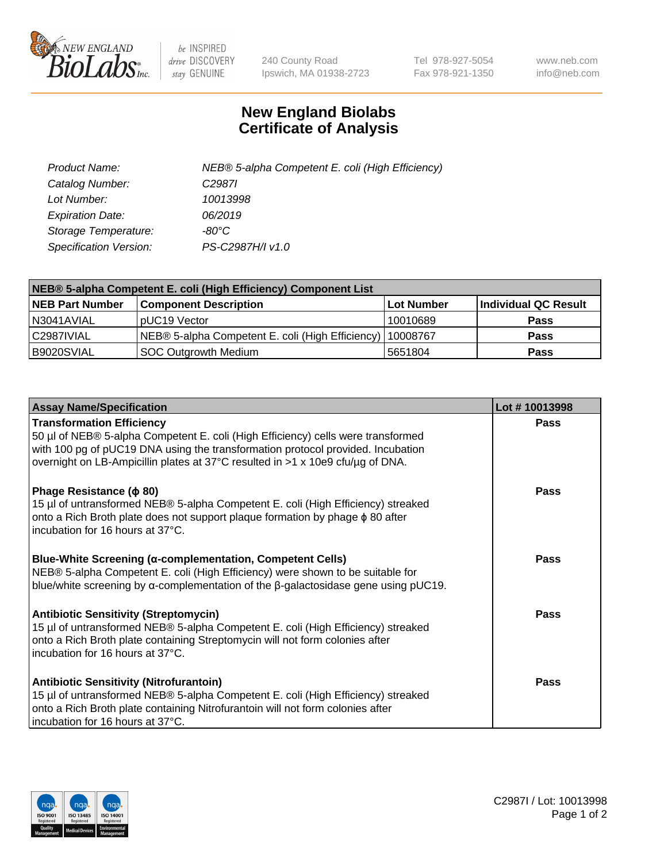

 $be$  INSPIRED drive DISCOVERY stay GENUINE

240 County Road Ipswich, MA 01938-2723 Tel 978-927-5054 Fax 978-921-1350 www.neb.com info@neb.com

## **New England Biolabs Certificate of Analysis**

| Product Name:           | NEB® 5-alpha Competent E. coli (High Efficiency) |
|-------------------------|--------------------------------------------------|
| Catalog Number:         | C <sub>2987</sub>                                |
| Lot Number:             | 10013998                                         |
| <b>Expiration Date:</b> | 06/2019                                          |
| Storage Temperature:    | -80°C                                            |
| Specification Version:  | PS-C2987H/I v1.0                                 |

| NEB® 5-alpha Competent E. coli (High Efficiency) Component List |                                                  |            |                      |  |
|-----------------------------------------------------------------|--------------------------------------------------|------------|----------------------|--|
| <b>NEB Part Number</b>                                          | <b>Component Description</b>                     | Lot Number | Individual QC Result |  |
| N3041AVIAL                                                      | pUC19 Vector                                     | 10010689   | <b>Pass</b>          |  |
| C2987IVIAL                                                      | NEB® 5-alpha Competent E. coli (High Efficiency) | 10008767   | <b>Pass</b>          |  |
| B9020SVIAL                                                      | <b>SOC Outgrowth Medium</b>                      | 5651804    | <b>Pass</b>          |  |

| <b>Assay Name/Specification</b>                                                                                                                                                                                                                                                           | Lot #10013998 |
|-------------------------------------------------------------------------------------------------------------------------------------------------------------------------------------------------------------------------------------------------------------------------------------------|---------------|
| <b>Transformation Efficiency</b><br>50 µl of NEB® 5-alpha Competent E. coli (High Efficiency) cells were transformed<br>with 100 pg of pUC19 DNA using the transformation protocol provided. Incubation<br>overnight on LB-Ampicillin plates at 37°C resulted in >1 x 10e9 cfu/µg of DNA. | <b>Pass</b>   |
| Phage Resistance ( $\phi$ 80)<br>15 µl of untransformed NEB® 5-alpha Competent E. coli (High Efficiency) streaked<br>onto a Rich Broth plate does not support plaque formation by phage $\phi$ 80 after<br>Incubation for 16 hours at 37°C.                                               | Pass          |
| <b>Blue-White Screening (α-complementation, Competent Cells)</b><br>NEB® 5-alpha Competent E. coli (High Efficiency) were shown to be suitable for<br>blue/white screening by $\alpha$ -complementation of the $\beta$ -galactosidase gene using pUC19.                                   | Pass          |
| <b>Antibiotic Sensitivity (Streptomycin)</b><br>15 µl of untransformed NEB® 5-alpha Competent E. coli (High Efficiency) streaked<br>onto a Rich Broth plate containing Streptomycin will not form colonies after<br>incubation for 16 hours at 37°C.                                      | Pass          |
| <b>Antibiotic Sensitivity (Nitrofurantoin)</b><br>15 µl of untransformed NEB® 5-alpha Competent E. coli (High Efficiency) streaked<br>onto a Rich Broth plate containing Nitrofurantoin will not form colonies after<br>incubation for 16 hours at 37°C.                                  | Pass          |